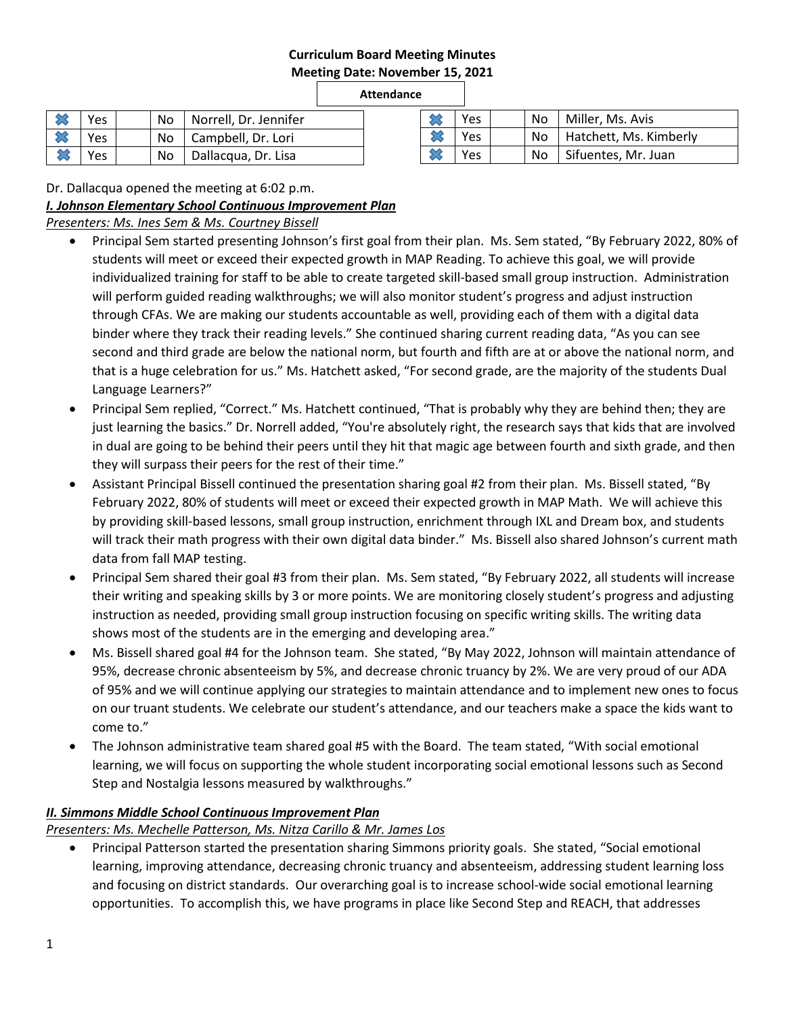# **Curriculum Board Meeting Minutes Meeting Date: November 15, 2021**

### **Attendance**

|   | Yes  |  | No   Norrell, Dr. Jennifer |
|---|------|--|----------------------------|
|   | Yes  |  | No   Campbell, Dr. Lori    |
| ╳ | Yes. |  | No   Dallacqua, Dr. Lisa   |

| Yes |  | No   Miller, Ms. Avis       |
|-----|--|-----------------------------|
| Yes |  | No   Hatchett, Ms. Kimberly |
| Yes |  | No Sifuentes, Mr. Juan      |

Dr. Dallacqua opened the meeting at 6:02 p.m.

*I. Johnson Elementary School Continuous Improvement Plan*

*Presenters: Ms. Ines Sem & Ms. Courtney Bissell*

- Principal Sem started presenting Johnson's first goal from their plan. Ms. Sem stated, "By February 2022, 80% of students will meet or exceed their expected growth in MAP Reading. To achieve this goal, we will provide individualized training for staff to be able to create targeted skill-based small group instruction. Administration will perform guided reading walkthroughs; we will also monitor student's progress and adjust instruction through CFAs. We are making our students accountable as well, providing each of them with a digital data binder where they track their reading levels." She continued sharing current reading data, "As you can see second and third grade are below the national norm, but fourth and fifth are at or above the national norm, and that is a huge celebration for us." Ms. Hatchett asked, "For second grade, are the majority of the students Dual Language Learners?"
- Principal Sem replied, "Correct." Ms. Hatchett continued, "That is probably why they are behind then; they are just learning the basics." Dr. Norrell added, "You're absolutely right, the research says that kids that are involved in dual are going to be behind their peers until they hit that magic age between fourth and sixth grade, and then they will surpass their peers for the rest of their time."
- Assistant Principal Bissell continued the presentation sharing goal #2 from their plan. Ms. Bissell stated, "By February 2022, 80% of students will meet or exceed their expected growth in MAP Math. We will achieve this by providing skill-based lessons, small group instruction, enrichment through IXL and Dream box, and students will track their math progress with their own digital data binder." Ms. Bissell also shared Johnson's current math data from fall MAP testing.
- Principal Sem shared their goal #3 from their plan. Ms. Sem stated, "By February 2022, all students will increase their writing and speaking skills by 3 or more points. We are monitoring closely student's progress and adjusting instruction as needed, providing small group instruction focusing on specific writing skills. The writing data shows most of the students are in the emerging and developing area."
- Ms. Bissell shared goal #4 for the Johnson team. She stated, "By May 2022, Johnson will maintain attendance of 95%, decrease chronic absenteeism by 5%, and decrease chronic truancy by 2%. We are very proud of our ADA of 95% and we will continue applying our strategies to maintain attendance and to implement new ones to focus on our truant students. We celebrate our student's attendance, and our teachers make a space the kids want to come to."
- The Johnson administrative team shared goal #5 with the Board. The team stated, "With social emotional learning, we will focus on supporting the whole student incorporating social emotional lessons such as Second Step and Nostalgia lessons measured by walkthroughs."

# *II. Simmons Middle School Continuous Improvement Plan*

*Presenters: Ms. Mechelle Patterson, Ms. Nitza Carillo & Mr. James Los*

 Principal Patterson started the presentation sharing Simmons priority goals. She stated, "Social emotional learning, improving attendance, decreasing chronic truancy and absenteeism, addressing student learning loss and focusing on district standards. Our overarching goal is to increase school-wide social emotional learning opportunities. To accomplish this, we have programs in place like Second Step and REACH, that addresses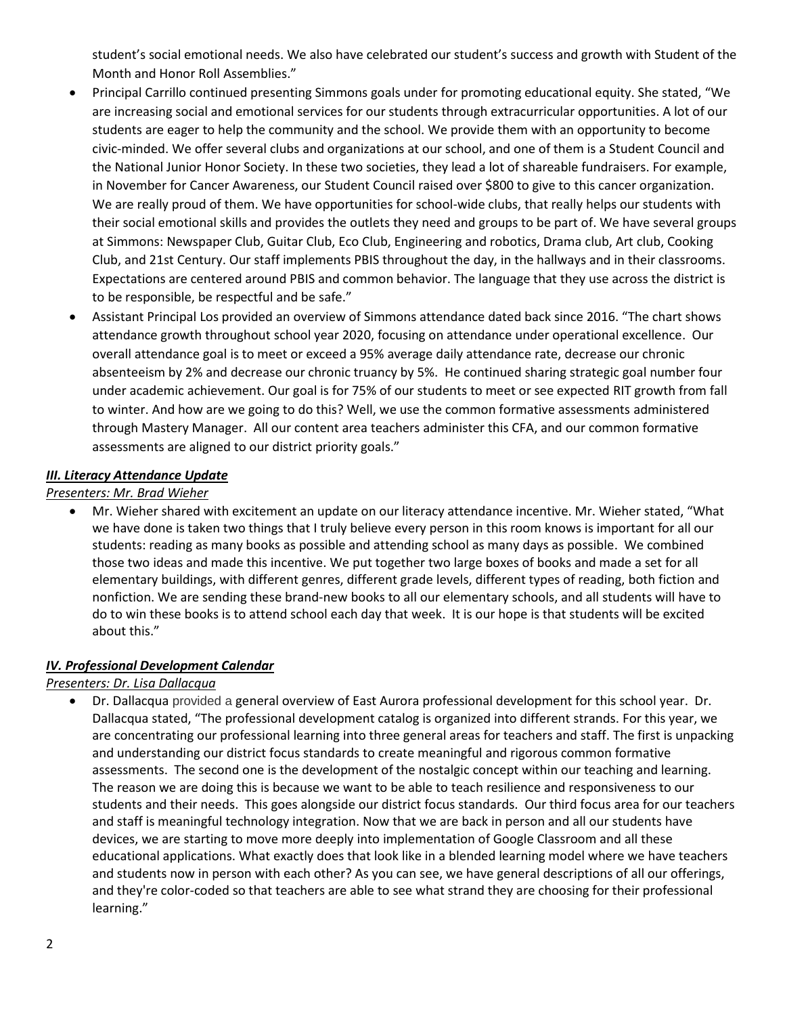student's social emotional needs. We also have celebrated our student's success and growth with Student of the Month and Honor Roll Assemblies."

- Principal Carrillo continued presenting Simmons goals under for promoting educational equity. She stated, "We are increasing social and emotional services for our students through extracurricular opportunities. A lot of our students are eager to help the community and the school. We provide them with an opportunity to become civic-minded. We offer several clubs and organizations at our school, and one of them is a Student Council and the National Junior Honor Society. In these two societies, they lead a lot of shareable fundraisers. For example, in November for Cancer Awareness, our Student Council raised over \$800 to give to this cancer organization. We are really proud of them. We have opportunities for school-wide clubs, that really helps our students with their social emotional skills and provides the outlets they need and groups to be part of. We have several groups at Simmons: Newspaper Club, Guitar Club, Eco Club, Engineering and robotics, Drama club, Art club, Cooking Club, and 21st Century. Our staff implements PBIS throughout the day, in the hallways and in their classrooms. Expectations are centered around PBIS and common behavior. The language that they use across the district is to be responsible, be respectful and be safe."
- Assistant Principal Los provided an overview of Simmons attendance dated back since 2016. "The chart shows attendance growth throughout school year 2020, focusing on attendance under operational excellence. Our overall attendance goal is to meet or exceed a 95% average daily attendance rate, decrease our chronic absenteeism by 2% and decrease our chronic truancy by 5%. He continued sharing strategic goal number four under academic achievement. Our goal is for 75% of our students to meet or see expected RIT growth from fall to winter. And how are we going to do this? Well, we use the common formative assessments administered through Mastery Manager. All our content area teachers administer this CFA, and our common formative assessments are aligned to our district priority goals."

### *III. Literacy Attendance Update*

#### *Presenters: Mr. Brad Wieher*

 Mr. Wieher shared with excitement an update on our literacy attendance incentive. Mr. Wieher stated, "What we have done is taken two things that I truly believe every person in this room knows is important for all our students: reading as many books as possible and attending school as many days as possible. We combined those two ideas and made this incentive. We put together two large boxes of books and made a set for all elementary buildings, with different genres, different grade levels, different types of reading, both fiction and nonfiction. We are sending these brand-new books to all our elementary schools, and all students will have to do to win these books is to attend school each day that week. It is our hope is that students will be excited about this."

#### *IV. Professional Development Calendar*

# *Presenters: Dr. Lisa Dallacqua*

 Dr. Dallacqua provided a general overview of East Aurora professional development for this school year. Dr. Dallacqua stated, "The professional development catalog is organized into different strands. For this year, we are concentrating our professional learning into three general areas for teachers and staff. The first is unpacking and understanding our district focus standards to create meaningful and rigorous common formative assessments. The second one is the development of the nostalgic concept within our teaching and learning. The reason we are doing this is because we want to be able to teach resilience and responsiveness to our students and their needs. This goes alongside our district focus standards. Our third focus area for our teachers and staff is meaningful technology integration. Now that we are back in person and all our students have devices, we are starting to move more deeply into implementation of Google Classroom and all these educational applications. What exactly does that look like in a blended learning model where we have teachers and students now in person with each other? As you can see, we have general descriptions of all our offerings, and they're color-coded so that teachers are able to see what strand they are choosing for their professional learning."